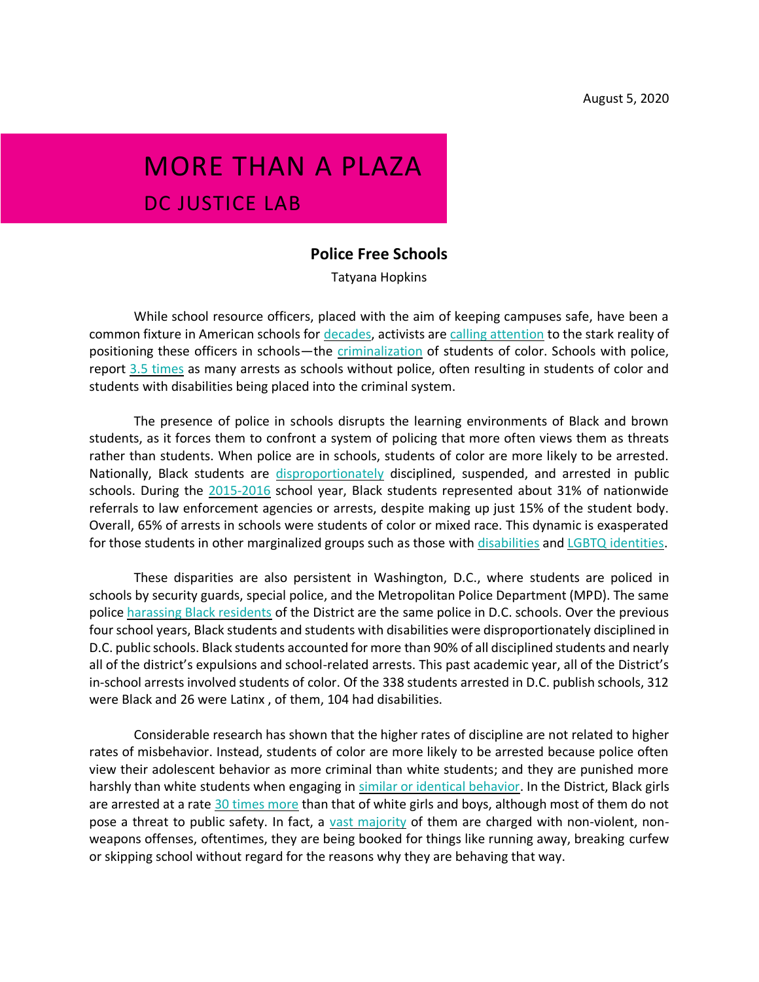## MORE THAN A PLAZA DC JUSTICE LAB

## **Police Free Schools**

Tatyana Hopkins

While school resource officers, placed with the aim of keeping campuses safe, have been a common fixture in American schools for [decades,](https://www.vox.com/identities/2018/9/20/17856416/school-discipline-policing-black-students-report) activists are [calling attention](https://docs.google.com/document/d/1W3HODYeAJ65V5r_xswX8B5S-3w72uElW_FRJql5UuUc/edit) to the stark reality of positioning these officers in schools—the *[criminalization](https://www.vox.com/identities/2018/9/20/17856416/school-discipline-policing-black-students-report)* of students of color. Schools with police, repor[t](http://aclu.org/issues/juvenile-justice/school-prison-pipeline/cops-and-no-counselors) [3.5 times](http://aclu.org/issues/juvenile-justice/school-prison-pipeline/cops-and-no-counselors) as many arrests as schools without police, often resulting in students of color and students with disabilities being placed into the criminal system.

The presence of police in schools disrupts the learning environments of Black and brown students, as it forces them to confront a system of policing that more often views them as threats rather than students. When police are in schools, students of color are more likely to be arrested. Nationally, Black students are [disproportionately](https://www.vox.com/identities/2018/4/5/17199810/school-discipline-race-racism-gao) disciplined, suspended, and arrested in public schools. During the [2015-2016](https://www2.ed.gov/about/offices/list/ocr/docs/school-climate-and-safety.pdf) school year, Black students represented about 31% of nationwide referrals to law enforcement agencies or arrests, despite making up just 15% of the student body. Overall, 65% of arrests in schools were students of color or mixed race. This dynamic is exasperated for those students in other marginalized groups such as those with *[disabilities](https://www.washingtonpost.com/news/answer-sheet/wp/2017/04/25/why-are-we-criminalizing-behavior-of-children-with-disabilities/)* and *LGBTQ identities*.

These disparities are also persistent in Washington, D.C., where students are policed in schools by security guards, special police, and the Metropolitan Police Department (MPD). The same police [harassing Black residents](https://www.nbcwashington.com/news/local/data-shows-black-people-stopped-at-disproportionately-high-rate-in-dc/2335746/) of the District are the same police in D.C. schools. Over the previous four school years, Black students and students with disabilities were disproportionately disciplined in D.C. public schools. Black students accounted for more than 90% of all disciplined students and nearly all of the district's expulsions and school-related arrests. This past academic year, all of the District's in-school arrests involved students of color. Of the 338 students arrested in D.C. publish schools, 312 were Black and 26 were Latinx , of them, 104 had disabilities.

Considerable research has shown that the higher rates of discipline are not related to higher rates of misbehavior. Instead, students of color are more likely to be arrested because police often view their adolescent behavior as more criminal than white students; and they are punished more harshly than white students when engaging in [similar or identical behavior.](https://takingnote.blogs.nytimes.com/2014/03/28/at-school-it-matters-if-youre-black-or-white/) In the District, Black girls are arrested at a rate [30 times more](https://www.law.georgetown.edu/news/report-arrests-of-d-c-girls-rising-sharply/) than that of white girls and boys, although most of them do not pose [a](https://rights4girls.org/wp/wp-content/uploads/r4g/2018/03/BeyondTheWalls-Final.pdf) threat to public safety. In fact, a [vast majority](https://rights4girls.org/wp/wp-content/uploads/r4g/2018/03/BeyondTheWalls-Final.pdf) of them are charged with non-violent, nonweapons offenses, oftentimes, they are being booked for things like running away, breaking curfew or skipping school without regard for the reasons why they are behaving that way.